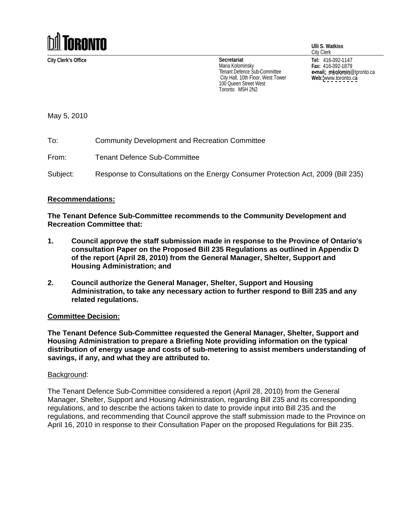

**City Clerk's Office Tel:** 416-392-1147 **Secretariat** Maria Kolominsky Tenant Defence Sub-Committee **Example 19 Committee Committee Committee Example 1** City Hall, 10th Floor, West Tower Web: www.toronto.ca 100 Queen Street West<br>Toronto M5H 2N2 Toronto M5H 2N2

**Ulli S. Watkiss**

City Clerk **Fax:** 416-392-1879 **e-mail: mkolomin**@toronto.ca **Web:** [www.toronto.ca](http://www.toronto.ca)

May 5, 2010

To: Community Development and Recreation Committee

From: Tenant Defence Sub-Committee

Subject: Response to Consultations on the Energy Consumer Protection Act, 2009 (Bill 235)

## **Recommendations:**

**The Tenant Defence Sub-Committee recommends to the Community Development and Recreation Committee that:**

- **1. Council approve the staff submission made in response to the Province of Ontario's consultation Paper on the Proposed Bill 235 Regulations as outlined in Appendix D of the report (April 28, 2010) from the General Manager, Shelter, Support and Housing Administration; and**
- **2. Council authorize the General Manager, Shelter, Support and Housing Administration, to take any necessary action to further respond to Bill 235 and any related regulations.**

## **Committee Decision:**

**The Tenant Defence Sub-Committee requested the General Manager, Shelter, Support and Housing Administration to prepare a Briefing Note providing information on the typical distribution of energy usage and costs of sub-metering to assist members understanding of savings, if any, and what they are attributed to.**

## Background: with a state of the state of the state of the state of the state of the state of the state of the state of the state of the state of the state of the state of the state of the state of the state of the state of

The Tenant Defence Sub-Committee considered a report (April 28, 2010) from the General Manager, Shelter, Support and Housing Administration, regarding Bill 235 and its corresponding regulations, and to describe the actions taken to date to provide input into Bill 235 and the regulations, and recommending that Council approve the staff submission made to the Province on April 16, 2010 in response to their Consultation Paper on the proposed Regulations for Bill 235.